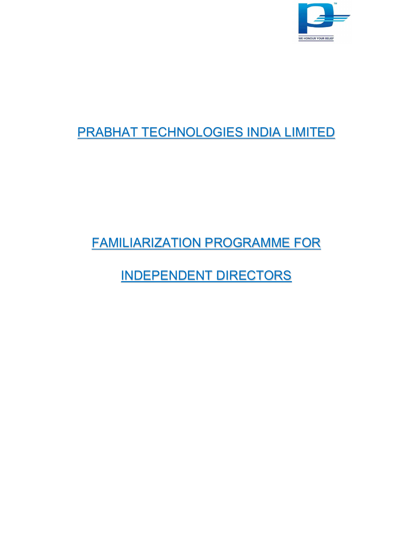

# PRABHAT TECHNOLOGIES INDIA LIMITED

FAMILIARIZATION PROGRAMME FOR

INDEPENDENT DIRECTORS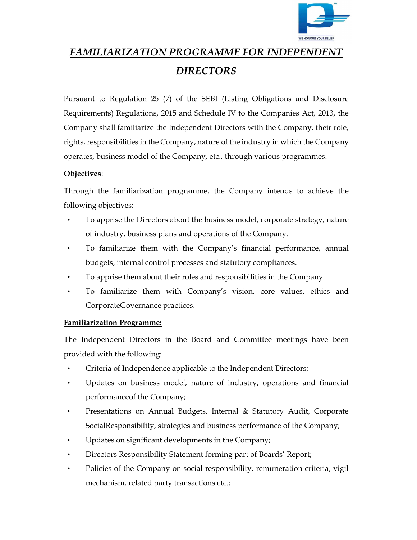

# FAMILIARIZATION PROGRAMME FOR INDEPENDENT DIRECTORS

Pursuant to Regulation 25 (7) of the SEBI (Listing Obligations and Disclosure Requirements) Regulations, 2015 and Schedule IV to the Companies Act, 2013, the Company shall familiarize the Independent Directors with the Company, their role, rights, responsibilities in the Company, nature of the industry in which the Company operates, business model of the Company, etc., through various programmes.

### Objectives:

Through the familiarization programme, the Company intends to achieve the following objectives:

- To apprise the Directors about the business model, corporate strategy, nature of industry, business plans and operations of the Company.
- To familiarize them with the Company's financial performance, annual budgets, internal control processes and statutory compliances.
- To apprise them about their roles and responsibilities in the Company.
- To familiarize them with Company's vision, core values, ethics and Corporate Governance practices.

## Familiarization Programme:

The Independent Directors in the Board and Committee meetings have been provided with the following:

- Criteria of Independence applicable to the Independent Directors;
- Updates on business model, nature of industry, operations and financial performance of the Company;
- Presentations on Annual Budgets, Internal & Statutory Audit, Corporate Social Responsibility, strategies and business performance of the Company;
- Updates on significant developments in the Company;
- Directors Responsibility Statement forming part of Boards' Report;
- Policies of the Company on social responsibility, remuneration criteria, vigil mechanism, related party transactions etc.;